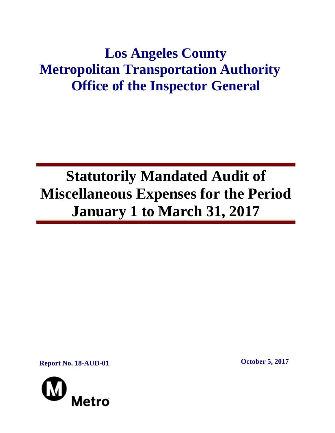## **Los Angeles County Metropolitan Transportation Authority Office of the Inspector General**

# **Statutorily Mandated Audit of Miscellaneous Expenses for the Period January 1 to March 31, 2017**

**Report No. 18-AUD-01 October 5, 2017**

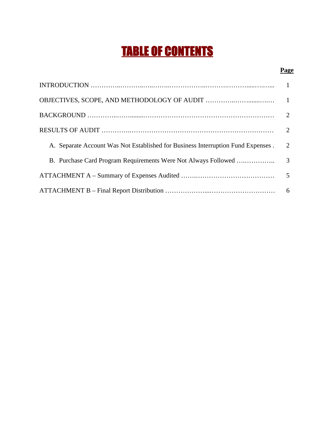## TABLE OF CONTENTS

## **Page**

| A. Separate Account Was Not Established for Business Interruption Fund Expenses. | 2 |
|----------------------------------------------------------------------------------|---|
|                                                                                  |   |
|                                                                                  |   |
|                                                                                  |   |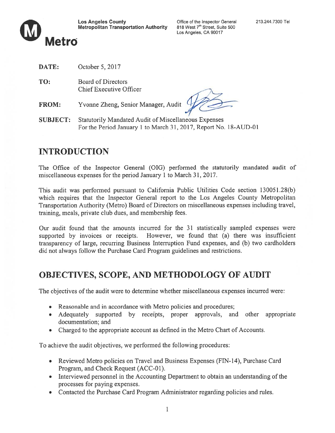



- DATE: October 5, 2017
- TO: Board of Directors Chief Executive Officer
- FROM: Yvonne Zheng, Senior Manager, Audit

SUBJECT: Statutorily Mandated Audit of Miscellaneous Expenses For the Period January 1 to March 31, 2017, Report No. 18-AUD-01

## INTRODUCTION

The Office of the Inspector General (OIG) performed the statutorily mandated audit of miscellaneous expenses for the period January 1 to March 31, 2017.

This audit was performed pursuan<sup>t</sup> to California Public Utilities Code section 130051.28(b) which requires that the Inspector General repor<sup>t</sup> to the Los Angeles County Metropolitan Transportation Authority (Metro) Board of Directors on miscellaneous expenses including travel, training, meals, private club dues, and membership fees.

Our audit found that the amounts incurred for the 31 statistically sampled expenses were supported by invoices or receipts. However, we found that (a) there was insufficient transparency of large, recurring Business Interruption Fund expenses, and (b) two cardholders did not always follow the Purchase Card Program guidelines and restrictions.

## OBJECTIVES, SCOPE, AND METHODOLOGY Of AUDIT

The objectives of the audit were to determine whether miscellaneous expenses incurred were:

- Reasonable and in accordance with Metro policies and procedures;
- Adequately supported by receipts, proper approvals, and other appropriate documentation; and
- Charged to the appropriate account as defined in the Metro Chart of Accounts.

To achieve the audit objectives, we performed the following procedures:

- Reviewed Metro policies on Travel and Business Expenses (FIN-14), Purchase Card Program, and Check Request (ACC-01).
- Interviewed personnel in the Accounting Department to obtain an understanding of the processes for paying expenses.
- Contacted the Purchase Card Program Administrator regarding policies and rules.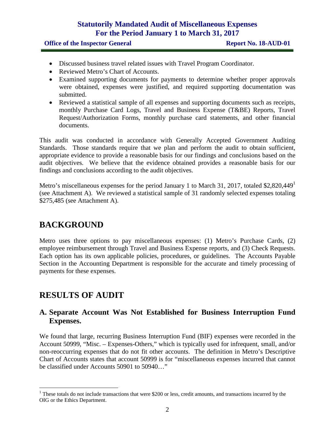## **Statutorily Mandated Audit of Miscellaneous Expenses For the Period January 1 to March 31, 2017**

#### **Office of the Inspector General <b>Report No. 18-AUD-01**

- Discussed business travel related issues with Travel Program Coordinator.
- Reviewed Metro's Chart of Accounts.
- Examined supporting documents for payments to determine whether proper approvals were obtained, expenses were justified, and required supporting documentation was submitted.
- Reviewed a statistical sample of all expenses and supporting documents such as receipts, monthly Purchase Card Logs, Travel and Business Expense (T&BE) Reports, Travel Request/Authorization Forms, monthly purchase card statements, and other financial documents.

This audit was conducted in accordance with Generally Accepted Government Auditing Standards. Those standards require that we plan and perform the audit to obtain sufficient, appropriate evidence to provide a reasonable basis for our findings and conclusions based on the audit objectives. We believe that the evidence obtained provides a reasonable basis for our findings and conclusions according to the audit objectives.

Metro's miscellaneous expenses for the period January 1 to March 31, 2017, totaled \$2,820,449<sup>1</sup> (see Attachment A). We reviewed a statistical sample of 31 randomly selected expenses totaling \$275,485 (see Attachment A).

## **BACKGROUND**

Metro uses three options to pay miscellaneous expenses: (1) Metro's Purchase Cards, (2) employee reimbursement through Travel and Business Expense reports, and (3) Check Requests. Each option has its own applicable policies, procedures, or guidelines. The Accounts Payable Section in the Accounting Department is responsible for the accurate and timely processing of payments for these expenses.

## **RESULTS OF AUDIT**

#### **A. Separate Account Was Not Established for Business Interruption Fund Expenses.**

We found that large, recurring Business Interruption Fund (BIF) expenses were recorded in the Account 50999, "Misc. – Expenses-Others," which is typically used for infrequent, small, and/or non-reoccurring expenses that do not fit other accounts. The definition in Metro's Descriptive Chart of Accounts states that account 50999 is for "miscellaneous expenses incurred that cannot be classified under Accounts 50901 to 50940…"

<sup>&</sup>lt;sup>1</sup> These totals do not include transactions that were \$200 or less, credit amounts, and transactions incurred by the OIG or the Ethics Department.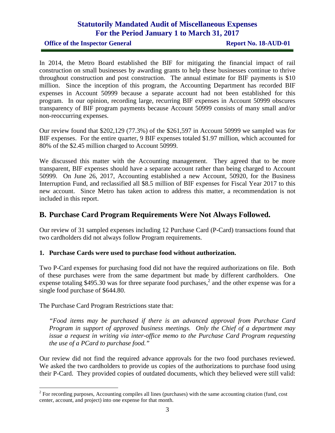### **Statutorily Mandated Audit of Miscellaneous Expenses For the Period January 1 to March 31, 2017**

**Office of the Inspector General <b>Report No. 18-AUD-01** 

In 2014, the Metro Board established the BIF for mitigating the financial impact of rail construction on small businesses by awarding grants to help these businesses continue to thrive throughout construction and post construction. The annual estimate for BIF payments is \$10 million. Since the inception of this program, the Accounting Department has recorded BIF expenses in Account 50999 because a separate account had not been established for this program. In our opinion, recording large, recurring BIF expenses in Account 50999 obscures transparency of BIF program payments because Account 50999 consists of many small and/or non-reoccurring expenses.

Our review found that \$202,129 (77.3%) of the \$261,597 in Account 50999 we sampled was for BIF expenses. For the entire quarter, 9 BIF expenses totaled \$1.97 million, which accounted for 80% of the \$2.45 million charged to Account 50999.

We discussed this matter with the Accounting management. They agreed that to be more transparent, BIF expenses should have a separate account rather than being charged to Account 50999. On June 26, 2017, Accounting established a new Account, 50920, for the Business Interruption Fund, and reclassified all \$8.5 million of BIF expenses for Fiscal Year 2017 to this new account. Since Metro has taken action to address this matter, a recommendation is not included in this report.

#### **B. Purchase Card Program Requirements Were Not Always Followed.**

Our review of 31 sampled expenses including 12 Purchase Card (P-Card) transactions found that two cardholders did not always follow Program requirements.

#### **1. Purchase Cards were used to purchase food without authorization.**

Two P-Card expenses for purchasing food did not have the required authorizations on file. Both of these purchases were from the same department but made by different cardholders. One expense totaling \$495.30 was for three separate food purchases,<sup>2</sup> and the other expense was for a single food purchase of \$644.80.

The Purchase Card Program Restrictions state that:

*"Food items may be purchased if there is an advanced approval from Purchase Card Program in support of approved business meetings. Only the Chief of a department may issue a request in writing via inter-office memo to the Purchase Card Program requesting the use of a PCard to purchase food."*

Our review did not find the required advance approvals for the two food purchases reviewed. We asked the two cardholders to provide us copies of the authorizations to purchase food using their P-Card. They provided copies of outdated documents, which they believed were still valid:

 $2^{2}$  For recording purposes, Accounting compiles all lines (purchases) with the same accounting citation (fund, cost center, account, and project) into one expense for that month.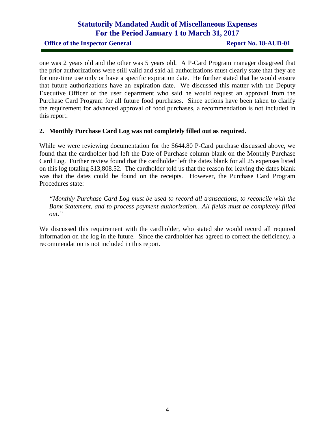## **Statutorily Mandated Audit of Miscellaneous Expenses For the Period January 1 to March 31, 2017**

**Office of the Inspector General <b>Report No. 18-AUD-01** 

one was 2 years old and the other was 5 years old. A P-Card Program manager disagreed that the prior authorizations were still valid and said all authorizations must clearly state that they are for one-time use only or have a specific expiration date. He further stated that he would ensure that future authorizations have an expiration date. We discussed this matter with the Deputy Executive Officer of the user department who said he would request an approval from the Purchase Card Program for all future food purchases. Since actions have been taken to clarify the requirement for advanced approval of food purchases, a recommendation is not included in this report.

#### **2. Monthly Purchase Card Log was not completely filled out as required.**

While we were reviewing documentation for the \$644.80 P-Card purchase discussed above, we found that the cardholder had left the Date of Purchase column blank on the Monthly Purchase Card Log. Further review found that the cardholder left the dates blank for all 25 expenses listed on this log totaling \$13,808.52. The cardholder told us that the reason for leaving the dates blank was that the dates could be found on the receipts. However, the Purchase Card Program Procedures state:

*"Monthly Purchase Card Log must be used to record all transactions, to reconcile with the Bank Statement, and to process payment authorization…All fields must be completely filled out."*

We discussed this requirement with the cardholder, who stated she would record all required information on the log in the future. Since the cardholder has agreed to correct the deficiency, a recommendation is not included in this report.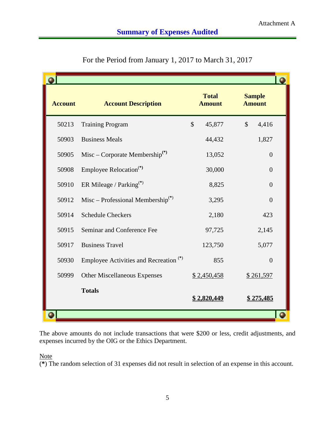| <b>Account</b> | <b>Account Description</b>                        | <b>Total</b><br><b>Amount</b> | <b>Sample</b><br><b>Amount</b> |  |
|----------------|---------------------------------------------------|-------------------------------|--------------------------------|--|
| 50213          | <b>Training Program</b>                           | $\mathbb{S}$<br>45,877        | $\mathcal{S}$<br>4,416         |  |
| 50903          | <b>Business Meals</b>                             | 44,432                        | 1,827                          |  |
| 50905          | Misc – Corporate Membership <sup>(*)</sup>        | 13,052                        | $\Omega$                       |  |
| 50908          | Employee Relocation <sup>(*)</sup>                | 30,000                        | $\overline{0}$                 |  |
| 50910          | ER Mileage / Parking $(*)$                        | 8,825                         | $\Omega$                       |  |
| 50912          | Misc – Professional Membership <sup>(*)</sup>     | 3,295                         | $\overline{0}$                 |  |
| 50914          | <b>Schedule Checkers</b>                          | 2,180                         | 423                            |  |
| 50915          | Seminar and Conference Fee                        | 97,725                        | 2,145                          |  |
| 50917          | <b>Business Travel</b>                            | 123,750                       | 5,077                          |  |
| 50930          | Employee Activities and Recreation <sup>(*)</sup> | 855                           | $\overline{0}$                 |  |
| 50999          | Other Miscellaneous Expenses                      | \$2,450,458                   | \$261,597                      |  |
|                | <b>Totals</b>                                     | <u>\$2,820,449</u>            | <u>\$275,485</u>               |  |
|                |                                                   |                               |                                |  |

For the Period from January 1, 2017 to March 31, 2017

The above amounts do not include transactions that were \$200 or less, credit adjustments, and expenses incurred by the OIG or the Ethics Department.

**Note** 

(**\***) The random selection of 31 expenses did not result in selection of an expense in this account.